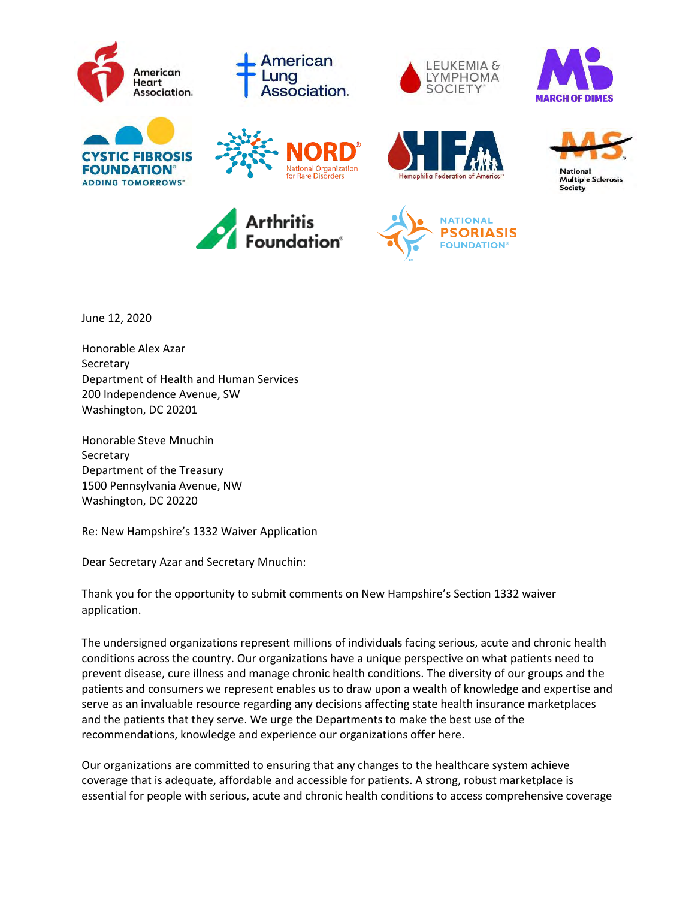

June 12, 2020

Honorable Alex Azar **Secretary** Department of Health and Human Services 200 Independence Avenue, SW Washington, DC 20201

Honorable Steve Mnuchin **Secretary** Department of the Treasury 1500 Pennsylvania Avenue, NW Washington, DC 20220

Re: New Hampshire's 1332 Waiver Application

Dear Secretary Azar and Secretary Mnuchin:

Thank you for the opportunity to submit comments on New Hampshire's Section 1332 waiver application.

The undersigned organizations represent millions of individuals facing serious, acute and chronic health conditions across the country. Our organizations have a unique perspective on what patients need to prevent disease, cure illness and manage chronic health conditions. The diversity of our groups and the patients and consumers we represent enables us to draw upon a wealth of knowledge and expertise and serve as an invaluable resource regarding any decisions affecting state health insurance marketplaces and the patients that they serve. We urge the Departments to make the best use of the recommendations, knowledge and experience our organizations offer here.

Our organizations are committed to ensuring that any changes to the healthcare system achieve coverage that is adequate, affordable and accessible for patients. A strong, robust marketplace is essential for people with serious, acute and chronic health conditions to access comprehensive coverage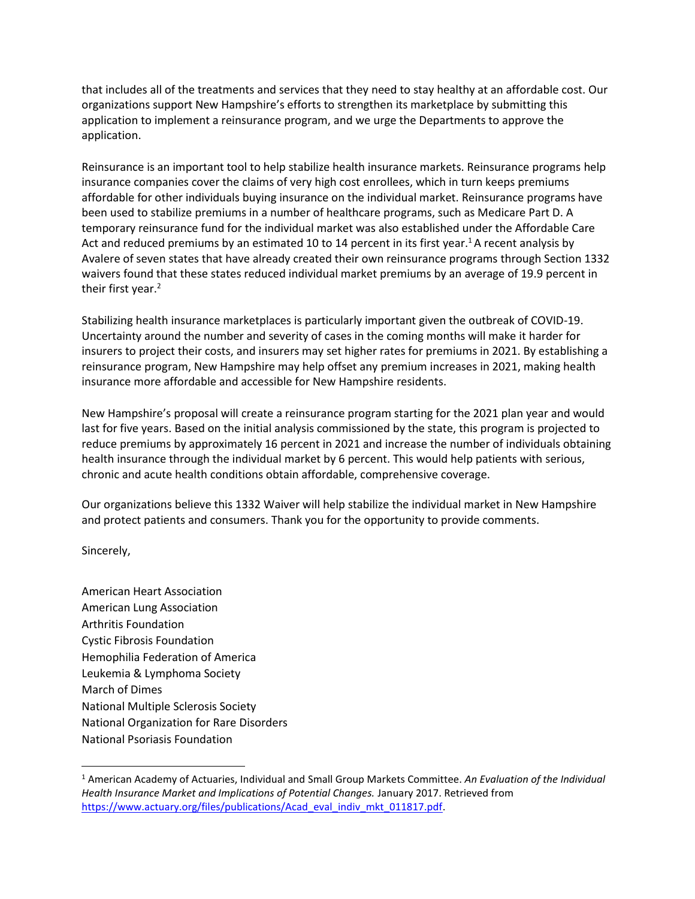that includes all of the treatments and services that they need to stay healthy at an affordable cost. Our organizations support New Hampshire's efforts to strengthen its marketplace by submitting this application to implement a reinsurance program, and we urge the Departments to approve the application.

Reinsurance is an important tool to help stabilize health insurance markets. Reinsurance programs help insurance companies cover the claims of very high cost enrollees, which in turn keeps premiums affordable for other individuals buying insurance on the individual market. Reinsurance programs have been used to stabilize premiums in a number of healthcare programs, such as Medicare Part D. A temporary reinsurance fund for the individual market was also established under the Affordable Care Act and reduced premiums by an estimated 10 to 14 percent in its first year.<sup>1</sup> A recent analysis by Avalere of seven states that have already created their own reinsurance programs through Section 1332 waivers found that these states reduced individual market premiums by an average of 19.9 percent in their first year.<sup>2</sup>

Stabilizing health insurance marketplaces is particularly important given the outbreak of COVID-19. Uncertainty around the number and severity of cases in the coming months will make it harder for insurers to project their costs, and insurers may set higher rates for premiums in 2021. By establishing a reinsurance program, New Hampshire may help offset any premium increases in 2021, making health insurance more affordable and accessible for New Hampshire residents.

New Hampshire's proposal will create a reinsurance program starting for the 2021 plan year and would last for five years. Based on the initial analysis commissioned by the state, this program is projected to reduce premiums by approximately 16 percent in 2021 and increase the number of individuals obtaining health insurance through the individual market by 6 percent. This would help patients with serious, chronic and acute health conditions obtain affordable, comprehensive coverage.

Our organizations believe this 1332 Waiver will help stabilize the individual market in New Hampshire and protect patients and consumers. Thank you for the opportunity to provide comments.

Sincerely,

American Heart Association American Lung Association Arthritis Foundation Cystic Fibrosis Foundation Hemophilia Federation of America Leukemia & Lymphoma Society March of Dimes National Multiple Sclerosis Society National Organization for Rare Disorders National Psoriasis Foundation

<sup>1</sup> American Academy of Actuaries, Individual and Small Group Markets Committee. *An Evaluation of the Individual Health Insurance Market and Implications of Potential Changes.* January 2017. Retrieved from [https://www.actuary.org/files/publications/Acad\\_eval\\_indiv\\_mkt\\_011817.pdf.](https://www.actuary.org/files/publications/Acad_eval_indiv_mkt_011817.pdf)